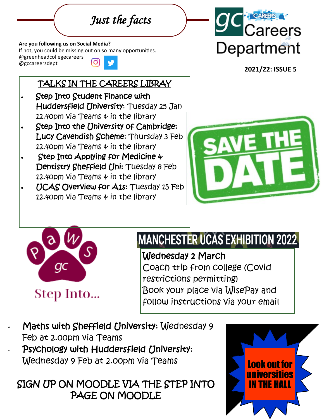*Just the facts* 

#### **Are you following us on Social Media?**

If not, you could be missing out on so many opportunities.

@greenheadcollegecareers Ö @gccareersdept

## TALKS IN THE CAREERS LIBRAY

- Step Into Student Finance with Huddersfield University: Tuesday 25 Jan 12.40pm via Teams & in the library
- Step Into the University of Cambridge: Lucy Cavendish Scheme: Thursday 3 Feb 12.40pm via Teams & in the library
- Step Into Applying for Medicine & Dentistry Sheffield Uni: Tuesday 8 Feb 12.40pm via Teams & in the library
- UCAS Overview for A1s: Tuesday 15 Feb 12.40pm via Teams & in the library



**2021/22: ISSUE 5**





# **MANCHESTER UCAS EXHIBITION 2022**

Wednesday 2 March Coach trip from college (Covid restrictions permitting) Book your place via WisePay and follow instructions via your email

 Maths with Sheffield University: Wednesday 9 Feb at 2.00pm via Teams Psychology with Huddersfield University: Wednesday 9 Feb at 2.00pm via Teams

SIGN UP ON MOODLE VIA THE STEP INTO PAGE ON MOODLE

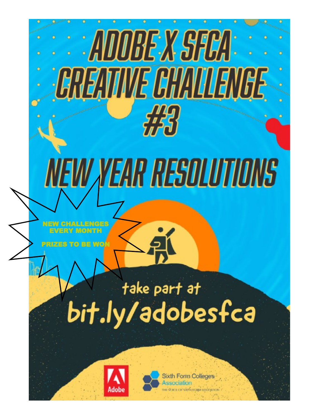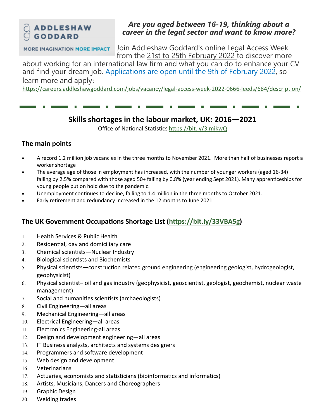### **CLADDLESHAW**  $\Box$  GODDARD

### *Are you aged between 16-19, thinking about a career in the legal sector and want to know more?*

**MORE IMAGINATION MORE IMPACT** 

Join Addleshaw Goddard's online Legal Access Week from the 21st to 25th February 2022 to discover more

about working for an international law firm and what you can do to enhance your CV and find your dream job. Applications are open until the 9th of February 2022, so learn more and apply:

https://careers.addleshawgoddard.com/jobs/vacancy/legal-access-week-2022-0666-leeds/684/description/

## **Skills shortages in the labour market, UK: 2016—2021**

Office of National Statistics https://bit.ly/3ImikwQ

### **The main points**

- A record 1.2 million job vacancies in the three months to November 2021. More than half of businesses report a worker shortage
- The average age of those in employment has increased, with the number of younger workers (aged 16-34) falling by 2.5% compared with those aged 50+ falling by 0.8% (year ending Sept 2021). Many apprenticeships for young people put on hold due to the pandemic.
- Unemployment continues to decline, falling to 1.4 million in the three months to October 2021.
- Early retirement and redundancy increased in the 12 months to June 2021

## **The UK Government Occupations Shortage List (https://bit.ly/33VBA5g)**

- 1. Health Services & Public Health
- Residential, day and domiciliary care
- Chemical scientists—Nuclear Industry
- 4. Biological scientists and Biochemists
- Physical scientists—construction related ground engineering (engineering geologist, hydrogeologist, geophysicist)
- Physical scientist– oil and gas industry (geophysicist, geoscientist, geologist, geochemist, nuclear waste management)
- 7. Social and humanities scientists (archaeologists)
- Civil Engineering—all areas
- Mechanical Engineering—all areas
- 10. Electrical Engineering—all areas
- 11. Electronics Engineering-all areas
- 12. Design and development engineering-all areas
- 13. IT Business analysts, architects and systems designers
- 14. Programmers and software development
- Web design and development
- Veterinarians
- Actuaries, economists and statisticians (bioinformatics and informatics)
- 18. Artists, Musicians, Dancers and Choreographers
- 19. Graphic Design
- Welding trades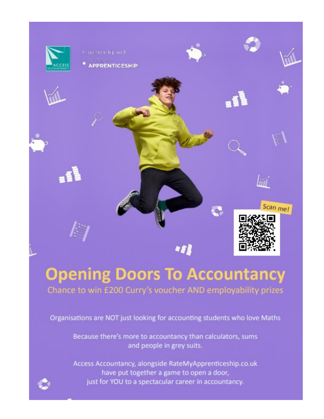

# **Opening Doors To Accountancy** Chance to win £200 Curry's voucher AND employability prizes

Organisations are NOT just looking for accounting students who love Maths

Because there's more to accountancy than calculators, sums and people in grey suits.

Access Accountancy, alongside RateMyApprenticeship.co.uk have put together a game to open a door, just for YOU to a spectacular career in accountancy.

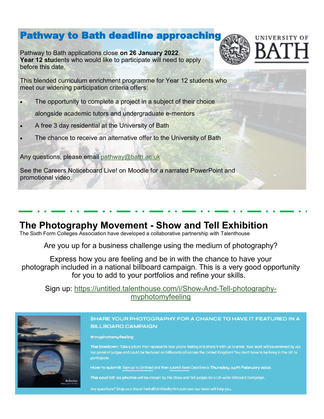## Pathway to Bath deadline approaching

Pathway to Bath applications close **on 26 January 2022**. **Year 12 students who would like to participate will need to apply** before this date.



This blended curriculum enrichment programme for Year 12 students who meet our widening participation criteria offers:

The opportunity to complete a project in a subject of their choice

alongside academic tutors and undergraduate e-mentors

- A free 3 day residential at the University of Bath
- The chance to receive an alternative offer to the University of Bath

Any questions, please email pathway@bath.ac.uk

See the Careers Noticeboard Live! on Moodle for a narrated PowerPoint and promotional video.

## **The Photography Movement - Show and Tell Exhibition**

The Sixth Form Colleges Association have developed a collaborative partnership with Talenthouse

Are you up for a business challenge using the medium of photography?

Express how you are feeling and be in with the chance to have your photograph included in a national billboard campaign. This is a very good opportunity for you to add to your portfolios and refine your skills.

Sign up: https://untitled.talenthouse.com/i/Show-And-Tell-photographymyphotomyfeeling



#### SHARE YOUR PHOTOGRAPHY FOR A CHANCE TO HAVE IT FEATURED IN A **BILLBOARD CAMPAIGN**

#myphotomyfeeling

The lowdown: Take a photo that represents how you're feeling and share it with us to enter. Your work will be reviewed by our top panel of judges and could be featured on billboards all across the United Kingdom! You don't have to be living in the UK to participate.

How to submit: Sign up to Untitled and then submit here! Deadline is Thursday, 24th February 2022.

The cool bit: 20 photos will be chosen by the Show and Tell judges for a UK-wide billboard campaign.

Any questions? Drop us a line at hello@UntitledbytInt.com and our team will help you.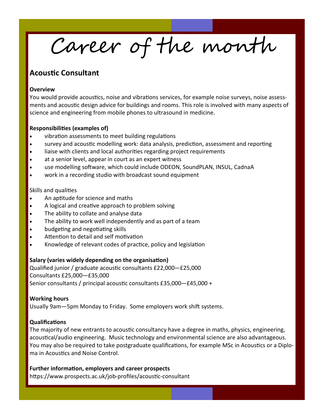Career of the month

### **Acoustic Consultant**

#### **Overview**

You would provide acoustics, noise and vibrations services, for example noise surveys, noise assessments and acoustic design advice for buildings and rooms. This role is involved with many aspects of science and engineering from mobile phones to ultrasound in medicine.

#### **Responsibilities (examples of)**

- vibration assessments to meet building regulations
- survey and acoustic modelling work: data analysis, prediction, assessment and reporting
- liaise with clients and local authorities regarding project requirements
- at a senior level, appear in court as an expert witness
- use modelling software, which could include ODEON, SoundPLAN, INSUL, CadnaA
- work in a recording studio with broadcast sound equipment

#### Skills and qualities

- An aptitude for science and maths
- A logical and creative approach to problem solving
- The ability to collate and analyse data
- The ability to work well independently and as part of a team
- budgeting and negotiating skills
- Attention to detail and self motivation
- Knowledge of relevant codes of practice, policy and legislation

#### **Salary (varies widely depending on the organisation)**

Qualified junior / graduate acoustic consultants £22,000—£25,000 Consultants £25,000—£35,000 Senior consultants / principal acoustic consultants £35,000—£45,000 +

#### **Working hours**

Usually 9am—5pm Monday to Friday. Some employers work shift systems.

#### **Qualifications**

The majority of new entrants to acoustic consultancy have a degree in maths, physics, engineering, acoustical/audio engineering. Music technology and environmental science are also advantageous. You may also be required to take postgraduate qualifications, for example MSc in Acoustics or a Diploma in Acoustics and Noise Control.

#### **Further information, employers and career prospects**

https://www.prospects.ac.uk/job-profiles/acoustic-consultant